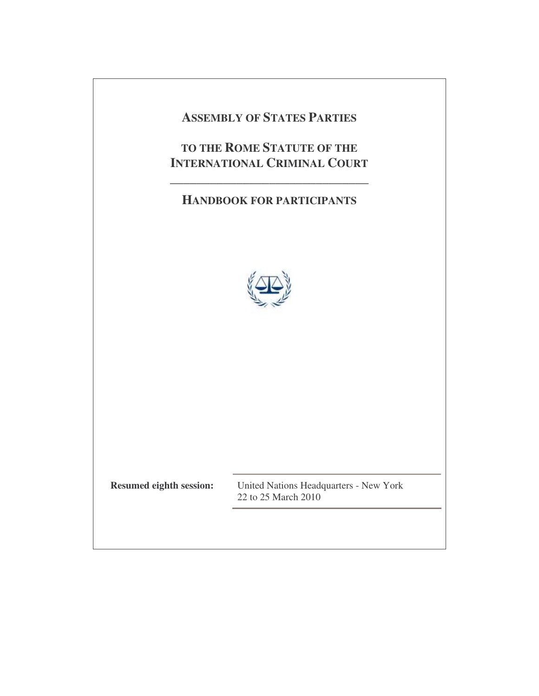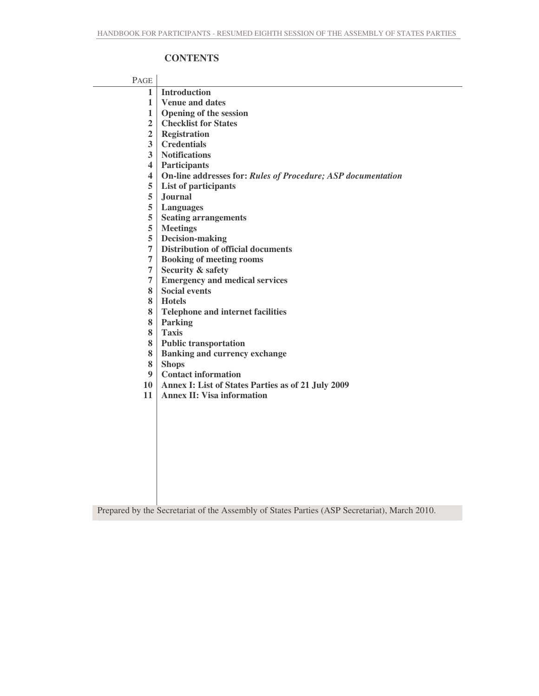# **CONTENTS**

# PAGE

| 1 <sup>1</sup>          | <b>Introduction</b>                                          |
|-------------------------|--------------------------------------------------------------|
| 1                       | <b>Venue and dates</b>                                       |
| 1                       | <b>Opening of the session</b>                                |
| $\overline{\mathbf{2}}$ | <b>Checklist for States</b>                                  |
| $\overline{2}$          | <b>Registration</b>                                          |
| $\overline{\mathbf{3}}$ | <b>Credentials</b>                                           |
| $\overline{\mathbf{3}}$ | <b>Notifications</b>                                         |
| $\overline{\mathbf{4}}$ | <b>Participants</b>                                          |
| 4                       | On-line addresses for: Rules of Procedure; ASP documentation |
| 5                       | List of participants                                         |
| 5                       | <b>Journal</b>                                               |
| 5                       | <b>Languages</b>                                             |
| 5                       | <b>Seating arrangements</b>                                  |
| 5                       | <b>Meetings</b>                                              |
| 5                       | Decision-making                                              |
| 7                       | <b>Distribution of official documents</b>                    |
| 7                       | <b>Booking of meeting rooms</b>                              |
| 7                       | <b>Security &amp; safety</b>                                 |
| 7                       | <b>Emergency and medical services</b>                        |
| 8                       | <b>Social events</b>                                         |
| 8                       | <b>Hotels</b>                                                |
| 8                       | <b>Telephone and internet facilities</b>                     |
| 8                       | <b>Parking</b>                                               |
| 8                       | <b>Taxis</b>                                                 |
| 8                       | <b>Public transportation</b>                                 |
| 8                       | <b>Banking and currency exchange</b>                         |
| 8                       | <b>Shops</b>                                                 |
| 9                       | <b>Contact information</b>                                   |
| 10                      | <b>Annex I: List of States Parties as of 21 July 2009</b>    |
| 11                      | <b>Annex II: Visa information</b>                            |
|                         |                                                              |
|                         |                                                              |

Prepared by the Secretariat of the Assembly of States Parties (ASP Secretariat), March 2010.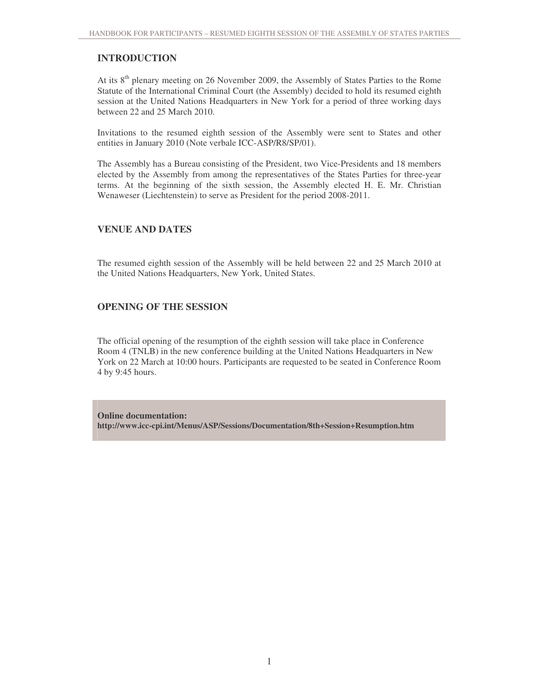# **INTRODUCTION**

At its 8<sup>th</sup> plenary meeting on 26 November 2009, the Assembly of States Parties to the Rome Statute of the International Criminal Court (the Assembly) decided to hold its resumed eighth session at the United Nations Headquarters in New York for a period of three working days between 22 and 25 March 2010.

Invitations to the resumed eighth session of the Assembly were sent to States and other entities in January 2010 (Note verbale ICC-ASP/R8/SP/01).

The Assembly has a Bureau consisting of the President, two Vice-Presidents and 18 members elected by the Assembly from among the representatives of the States Parties for three-year terms. At the beginning of the sixth session, the Assembly elected H. E. Mr. Christian Wenaweser (Liechtenstein) to serve as President for the period 2008-2011.

### **VENUE AND DATES**

The resumed eighth session of the Assembly will be held between 22 and 25 March 2010 at the United Nations Headquarters, New York, United States.

### **OPENING OF THE SESSION**

The official opening of the resumption of the eighth session will take place in Conference Room 4 (TNLB) in the new conference building at the United Nations Headquarters in New York on 22 March at 10:00 hours. Participants are requested to be seated in Conference Room 4 by 9:45 hours.

**Online documentation: http://www.icc-cpi.int/Menus/ASP/Sessions/Documentation/8th+Session+Resumption.htm**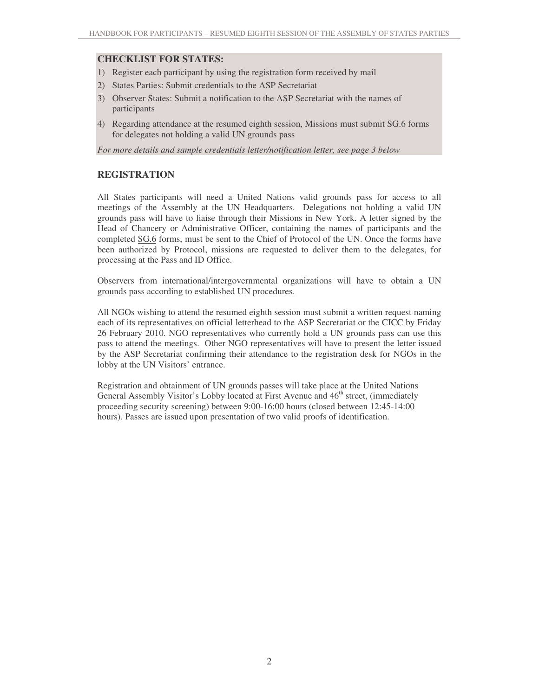### **CHECKLIST FOR STATES:**

- 1) Register each participant by using the registration form received by mail
- 2) States Parties: Submit credentials to the ASP Secretariat
- 3) Observer States: Submit a notification to the ASP Secretariat with the names of participants
- 4) Regarding attendance at the resumed eighth session, Missions must submit SG.6 forms for delegates not holding a valid UN grounds pass

*For more details and sample credentials letter/notification letter, see page 3 below*

### **REGISTRATION**

All States participants will need a United Nations valid grounds pass for access to all meetings of the Assembly at the UN Headquarters. Delegations not holding a valid UN grounds pass will have to liaise through their Missions in New York. A letter signed by the Head of Chancery or Administrative Officer, containing the names of participants and the completed SG.6 forms, must be sent to the Chief of Protocol of the UN. Once the forms have been authorized by Protocol, missions are requested to deliver them to the delegates, for processing at the Pass and ID Office.

Observers from international/intergovernmental organizations will have to obtain a UN grounds pass according to established UN procedures.

All NGOs wishing to attend the resumed eighth session must submit a written request naming each of its representatives on official letterhead to the ASP Secretariat or the CICC by Friday 26 February 2010. NGO representatives who currently hold a UN grounds pass can use this pass to attend the meetings. Other NGO representatives will have to present the letter issued by the ASP Secretariat confirming their attendance to the registration desk for NGOs in the lobby at the UN Visitors' entrance.

Registration and obtainment of UN grounds passes will take place at the United Nations General Assembly Visitor's Lobby located at First Avenue and 46<sup>th</sup> street, (immediately proceeding security screening) between 9:00-16:00 hours (closed between 12:45-14:00 hours). Passes are issued upon presentation of two valid proofs of identification.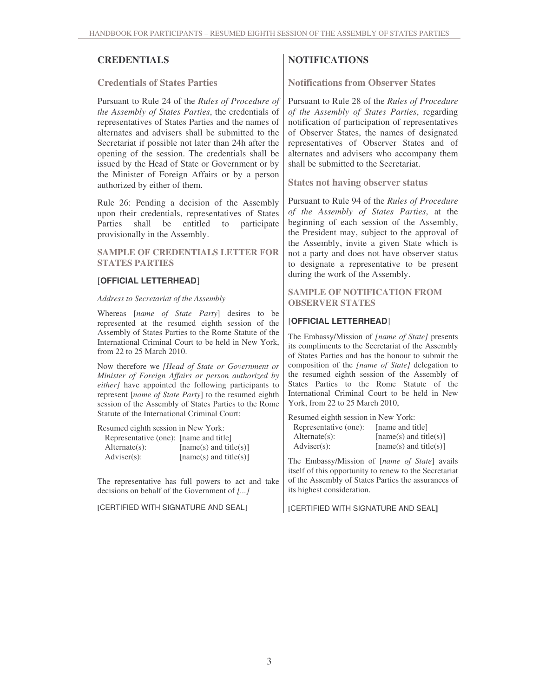**Credentials of States Parties**

Pursuant to Rule 24 of the *Rules of Procedure of the Assembly of States Parties*, the credentials of representatives of States Parties and the names of alternates and advisers shall be submitted to the Secretariat if possible not later than 24h after the opening of the session. The credentials shall be issued by the Head of State or Government or by the Minister of Foreign Affairs or by a person authorized by either of them.

Rule 26: Pending a decision of the Assembly upon their credentials, representatives of States Parties shall be entitled to participate provisionally in the Assembly.

#### **SAMPLE OF CREDENTIALS LETTER FOR STATES PARTIES**

#### [**OFFICIAL LETTERHEAD**]

#### *Address to Secretariat of the Assembly*

Whereas [*name of State Party*] desires to be represented at the resumed eighth session of the Assembly of States Parties to the Rome Statute of the International Criminal Court to be held in New York, from 22 to 25 March 2010.

Now therefore we *[Head of State or Government or Minister of Foreign Affairs or person authorized by either]* have appointed the following participants to represent [*name of State Party*] to the resumed eighth session of the Assembly of States Parties to the Rome Statute of the International Criminal Court:

Resumed eighth session in New York: Representative (one): [name and title] Alternate(s): [name(s) and title(s)]  $\text{Adviser}(s):$  [name(s) and title(s)]

The representative has full powers to act and take decisions on behalf of the Government of *[...]*

**[**CERTIFIED WITH SIGNATURE AND SEAL**]**

# **CREDENTIALS NOTIFICATIONS**

**Notifications from Observer States**

Pursuant to Rule 28 of the *Rules of Procedure of the Assembly of States Parties*, regarding notification of participation of representatives of Observer States, the names of designated representatives of Observer States and of alternates and advisers who accompany them shall be submitted to the Secretariat.

**States not having observer status**

Pursuant to Rule 94 of the *Rules of Procedure of the Assembly of States Parties*, at the beginning of each session of the Assembly, the President may, subject to the approval of the Assembly, invite a given State which is not a party and does not have observer status to designate a representative to be present during the work of the Assembly.

#### **SAMPLE OF NOTIFICATION FROM OBSERVER STATES**

### [**OFFICIAL LETTERHEAD**]

The Embassy/Mission of *[name of State]* presents its compliments to the Secretariat of the Assembly of States Parties and has the honour to submit the composition of the *[name of State]* delegation to the resumed eighth session of the Assembly of States Parties to the Rome Statute of the International Criminal Court to be held in New York, from 22 to 25 March 2010,

| Resumed eighth session in New York: |                          |  |  |  |
|-------------------------------------|--------------------------|--|--|--|
| Representative (one):               | [name and title]         |  |  |  |
| $Alternate(s)$ :                    | $[name(s)$ and title(s)] |  |  |  |
| $\text{Adviser}(s)$ :               | $[name(s)$ and title(s)] |  |  |  |

The Embassy/Mission of [*name of State*] avails itself of this opportunity to renew to the Secretariat of the Assembly of States Parties the assurances of its highest consideration.

**[**CERTIFIED WITH SIGNATURE AND SEAL**]**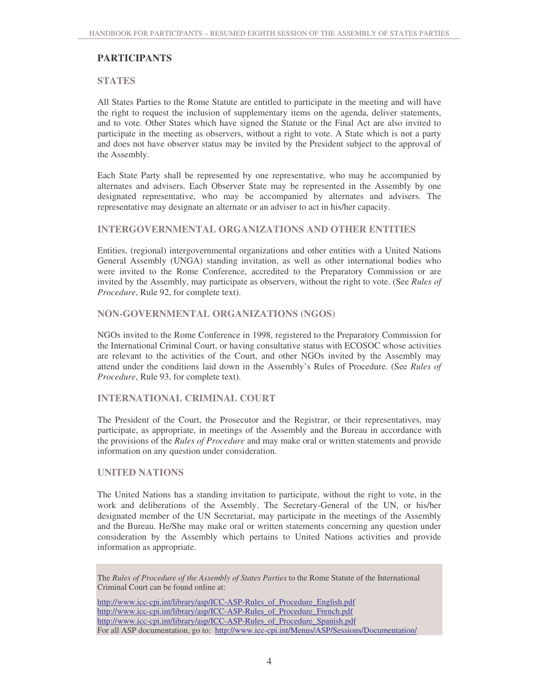## **PARTICIPANTS**

#### **STATES**

All States Parties to the Rome Statute are entitled to participate in the meeting and will have the right to request the inclusion of supplementary items on the agenda, deliver statements, and to vote. Other States which have signed the Statute or the Final Act are also invited to participate in the meeting as observers, without a right to vote. A State which is not a party and does not have observer status may be invited by the President subject to the approval of the Assembly.

Each State Party shall be represented by one representative, who may be accompanied by alternates and advisers. Each Observer State may be represented in the Assembly by one designated representative, who may be accompanied by alternates and advisers. The representative may designate an alternate or an adviser to act in his/her capacity.

#### **INTERGOVERNMENTAL ORGANIZATIONS AND OTHER ENTITIES**

Entities, (regional) intergovernmental organizations and other entities with a United Nations General Assembly (UNGA) standing invitation, as well as other international bodies who were invited to the Rome Conference, accredited to the Preparatory Commission or are invited by the Assembly, may participate as observers, without the right to vote. (See *Rules of Procedure*, Rule 92, for complete text).

### **NON-GOVERNMENTAL ORGANIZATIONS (NGOS)**

NGOs invited to the Rome Conference in 1998, registered to the Preparatory Commission for the International Criminal Court, or having consultative status with ECOSOC whose activities are relevant to the activities of the Court, and other NGOs invited by the Assembly may attend under the conditions laid down in the Assembly's Rules of Procedure. (See *Rules of Procedure*, Rule 93, for complete text).

### **INTERNATIONAL CRIMINAL COURT**

The President of the Court, the Prosecutor and the Registrar, or their representatives, may participate, as appropriate, in meetings of the Assembly and the Bureau in accordance with the provisions of the *Rules of Procedure* and may make oral or written statements and provide information on any question under consideration.

#### **UNITED NATIONS**

The United Nations has a standing invitation to participate, without the right to vote, in the work and deliberations of the Assembly. The Secretary-General of the UN, or his/her designated member of the UN Secretariat, may participate in the meetings of the Assembly and the Bureau. He/She may make oral or written statements concerning any question under consideration by the Assembly which pertains to United Nations activities and provide information as appropriate.

The *Rules of Procedure of the Assembly of States Parties* to the Rome Statute of the International Criminal Court can be found online at:

http://www.icc-cpi.int/library/asp/ICC-ASP-Rules\_of\_Procedure\_English.pdf http://www.icc-cpi.int/library/asp/ICC-ASP-Rules\_of\_Procedure\_French.pdf http://www.icc-cpi.int/library/asp/ICC-ASP-Rules\_of\_Procedure\_Spanish.pdf For all ASP documentation, go to: http://www.icc-cpi.int/Menus/ASP/Sessions/Documentation/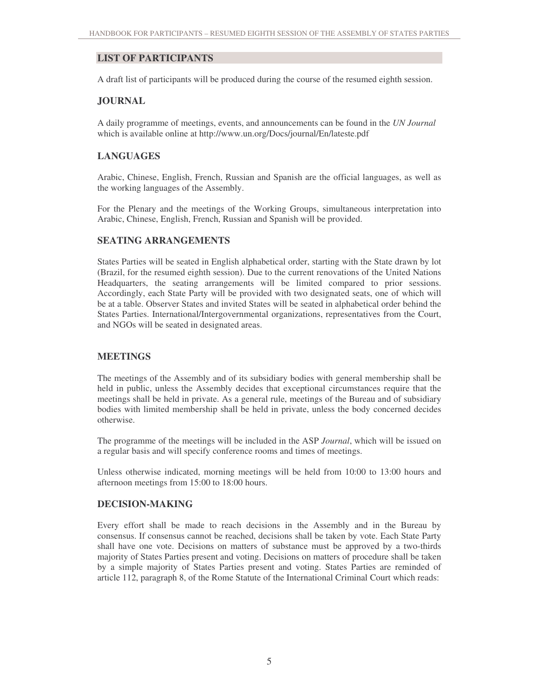# **LIST OF PARTICIPANTS**

A draft list of participants will be produced during the course of the resumed eighth session.

### **JOURNAL**

A daily programme of meetings, events, and announcements can be found in the *UN Journal* which is available online at http://www.un.org/Docs/journal/En/lateste.pdf

## **LANGUAGES**

Arabic, Chinese, English, French, Russian and Spanish are the official languages, as well as the working languages of the Assembly.

For the Plenary and the meetings of the Working Groups, simultaneous interpretation into Arabic, Chinese, English, French, Russian and Spanish will be provided.

### **SEATING ARRANGEMENTS**

States Parties will be seated in English alphabetical order, starting with the State drawn by lot (Brazil, for the resumed eighth session). Due to the current renovations of the United Nations Headquarters, the seating arrangements will be limited compared to prior sessions. Accordingly, each State Party will be provided with two designated seats, one of which will be at a table. Observer States and invited States will be seated in alphabetical order behind the States Parties. International/Intergovernmental organizations, representatives from the Court, and NGOs will be seated in designated areas.

#### **MEETINGS**

The meetings of the Assembly and of its subsidiary bodies with general membership shall be held in public, unless the Assembly decides that exceptional circumstances require that the meetings shall be held in private. As a general rule, meetings of the Bureau and of subsidiary bodies with limited membership shall be held in private, unless the body concerned decides otherwise.

The programme of the meetings will be included in the ASP *Journal*, which will be issued on a regular basis and will specify conference rooms and times of meetings.

Unless otherwise indicated, morning meetings will be held from 10:00 to 13:00 hours and afternoon meetings from 15:00 to 18:00 hours.

#### **DECISION-MAKING**

Every effort shall be made to reach decisions in the Assembly and in the Bureau by consensus. If consensus cannot be reached, decisions shall be taken by vote. Each State Party shall have one vote. Decisions on matters of substance must be approved by a two-thirds majority of States Parties present and voting. Decisions on matters of procedure shall be taken by a simple majority of States Parties present and voting. States Parties are reminded of article 112, paragraph 8, of the Rome Statute of the International Criminal Court which reads: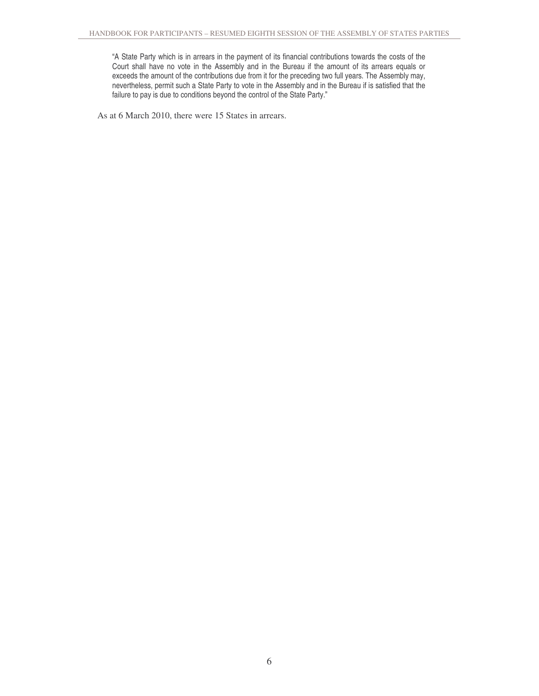"A State Party which is in arrears in the payment of its financial contributions towards the costs of the Court shall have no vote in the Assembly and in the Bureau if the amount of its arrears equals or exceeds the amount of the contributions due from it for the preceding two full years. The Assembly may, nevertheless, permit such a State Party to vote in the Assembly and in the Bureau if is satisfied that the failure to pay is due to conditions beyond the control of the State Party."

As at 6 March 2010, there were 15 States in arrears.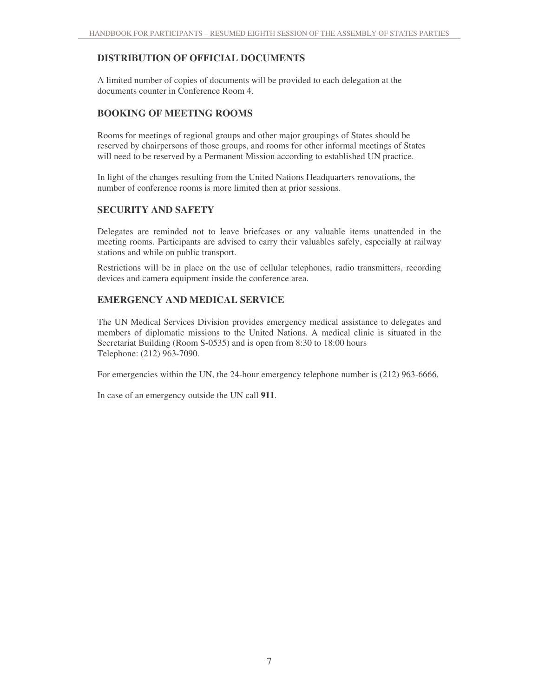# **DISTRIBUTION OF OFFICIAL DOCUMENTS**

A limited number of copies of documents will be provided to each delegation at the documents counter in Conference Room 4.

# **BOOKING OF MEETING ROOMS**

Rooms for meetings of regional groups and other major groupings of States should be reserved by chairpersons of those groups, and rooms for other informal meetings of States will need to be reserved by a Permanent Mission according to established UN practice.

In light of the changes resulting from the United Nations Headquarters renovations, the number of conference rooms is more limited then at prior sessions.

### **SECURITY AND SAFETY**

Delegates are reminded not to leave briefcases or any valuable items unattended in the meeting rooms. Participants are advised to carry their valuables safely, especially at railway stations and while on public transport.

Restrictions will be in place on the use of cellular telephones, radio transmitters, recording devices and camera equipment inside the conference area.

## **EMERGENCY AND MEDICAL SERVICE**

The UN Medical Services Division provides emergency medical assistance to delegates and members of diplomatic missions to the United Nations. A medical clinic is situated in the Secretariat Building (Room S-0535) and is open from 8:30 to 18:00 hours Telephone: (212) 963-7090.

For emergencies within the UN, the 24-hour emergency telephone number is  $(212)$  963-6666.

In case of an emergency outside the UN call **911**.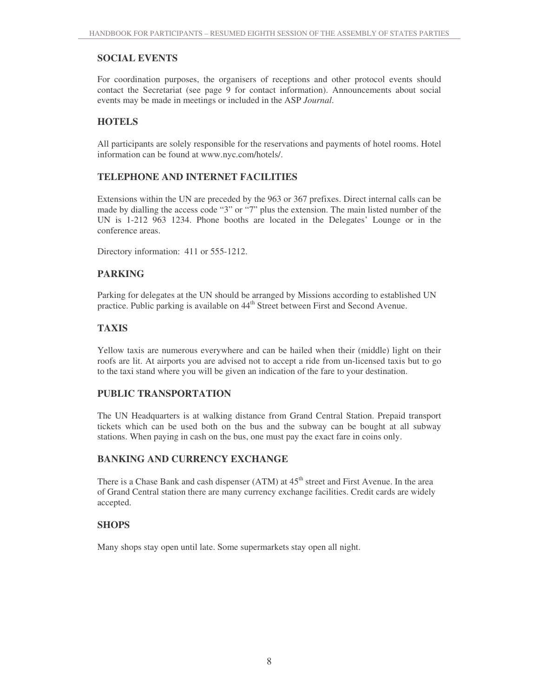# **SOCIAL EVENTS**

For coordination purposes, the organisers of receptions and other protocol events should contact the Secretariat (see page 9 for contact information). Announcements about social events may be made in meetings or included in the ASP *Journal*.

# **HOTELS**

All participants are solely responsible for the reservations and payments of hotel rooms. Hotel information can be found at www.nyc.com/hotels/.

# **TELEPHONE AND INTERNET FACILITIES**

Extensions within the UN are preceded by the 963 or 367 prefixes. Direct internal calls can be made by dialling the access code "3" or "7" plus the extension. The main listed number of the UN is 1-212 963 1234. Phone booths are located in the Delegates' Lounge or in the conference areas.

Directory information: 411 or 555-1212.

# **PARKING**

Parking for delegates at the UN should be arranged by Missions according to established UN practice. Public parking is available on 44<sup>th</sup> Street between First and Second Avenue.

# **TAXIS**

Yellow taxis are numerous everywhere and can be hailed when their (middle) light on their roofs are lit. At airports you are advised not to accept a ride from un-licensed taxis but to go to the taxi stand where you will be given an indication of the fare to your destination.

## **PUBLIC TRANSPORTATION**

The UN Headquarters is at walking distance from Grand Central Station. Prepaid transport tickets which can be used both on the bus and the subway can be bought at all subway stations. When paying in cash on the bus, one must pay the exact fare in coins only.

## **BANKING AND CURRENCY EXCHANGE**

There is a Chase Bank and cash dispenser (ATM) at 45<sup>th</sup> street and First Avenue. In the area of Grand Central station there are many currency exchange facilities. Credit cards are widely accepted.

## **SHOPS**

Many shops stay open until late. Some supermarkets stay open all night.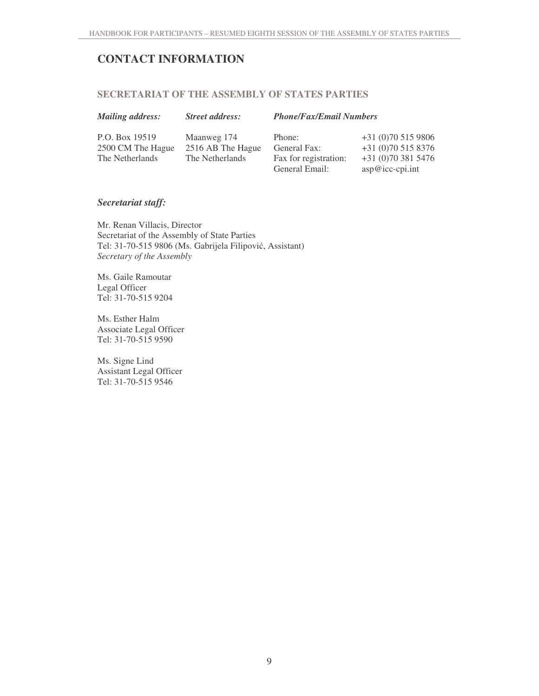# **CONTACT INFORMATION**

# **SECRETARIAT OF THE ASSEMBLY OF STATES PARTIES**

| <b>Mailing address:</b> | <b>Street address:</b> | <b>Phone/Fax/Email Numbers</b> |                          |
|-------------------------|------------------------|--------------------------------|--------------------------|
| P.O. Box 19519          | Maanweg 174            | Phone:                         | $+31(0)705159806$        |
| 2500 CM The Hague       | 2516 AB The Hague      | General Fax:                   | $+31(0)705158376$        |
| The Netherlands         | The Netherlands        | Fax for registration:          | $+31(0)703815476$        |
|                         |                        | General Email:                 | $\arg\omega$ icc-cpi.int |

### *Secretariat staff:*

Mr. Renan Villacis, Director Secretariat of the Assembly of State Parties Tel: 31-70-515 9806 (Ms. Gabrijela Filipović, Assistant) *Secretary of the Assembly*

Ms. Gaile Ramoutar Legal Officer Tel: 31-70-515 9204

Ms. Esther Halm Associate Legal Officer Tel: 31-70-515 9590

Ms. Signe Lind Assistant Legal Officer Tel: 31-70-515 9546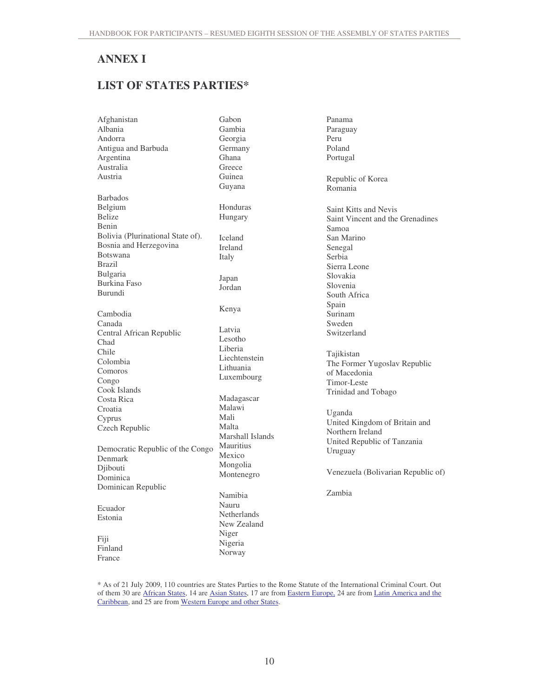# **ANNEX I**

# **LIST OF STATES PARTIES\***

| Afghanistan                       | Gabon            |
|-----------------------------------|------------------|
| Albania                           | Gambia           |
| Andorra                           | Georgia          |
| Antigua and Barbuda               | Germany          |
| Argentina                         | Ghana            |
| Australia                         | Greece           |
| Austria                           | Guinea           |
|                                   | Guyana           |
| <b>Barbados</b>                   |                  |
| Belgium                           | Honduras         |
| <b>Belize</b>                     | Hungary          |
| Benin                             |                  |
| Bolivia (Plurinational State of). | Iceland          |
| Bosnia and Herzegovina            | Ireland          |
| Botswana                          | Italy            |
| Brazil                            |                  |
| <b>Bulgaria</b>                   |                  |
| <b>Burkina Faso</b>               | Japan<br>Jordan  |
| <b>Burundi</b>                    |                  |
|                                   |                  |
| Cambodia                          | Kenya            |
| Canada                            |                  |
| Central African Republic          | Latvia           |
| Chad                              | Lesotho          |
| Chile                             | Liberia          |
| Colombia                          | Liechtenstein    |
| Comoros                           | Lithuania        |
| Congo                             | Luxembourg       |
| Cook Islands                      |                  |
| Costa Rica                        | Madagascar       |
| Croatia                           | Malawi           |
| Cyprus                            | Mali             |
| Czech Republic                    | Malta            |
|                                   | Marshall Islands |
|                                   | Mauritius        |
| Democratic Republic of the Congo  | Mexico           |
| Denmark                           | Mongolia         |
| Djibouti                          | Montenegro       |
| Dominica                          |                  |
| Dominican Republic                |                  |
|                                   | Namibia          |
| Ecuador                           | Nauru            |
| Estonia                           | Netherlands      |
|                                   | New Zealand      |
| Fiji                              | Niger            |
| Finland                           | Nigeria          |
| France                            | Norway           |
|                                   |                  |

Panama Paraguay Peru Poland Portugal Republic of Korea Romania Saint Kitts and Nevis Saint Vincent and the Grenadines Samoa San Marino Senegal Serbia Sierra Leone Slovakia Slovenia South Africa Spain Surinam Sweden Switzerland Tajikistan The Former Yugoslav Republic of Macedonia Timor-Leste Trinidad and Tobago Uganda

United Kingdom of Britain and Northern Ireland United Republic of Tanzania Uruguay

Venezuela (Bolivarian Republic of)

Zambia

\* As of 21 July 2009, 110 countries are States Parties to the Rome Statute of the International Criminal Court. Out of them 30 are African States, 14 are Asian States, 17 are from Eastern Europe, 24 are from Latin America and the Caribbean, and 25 are from Western Europe and other States.